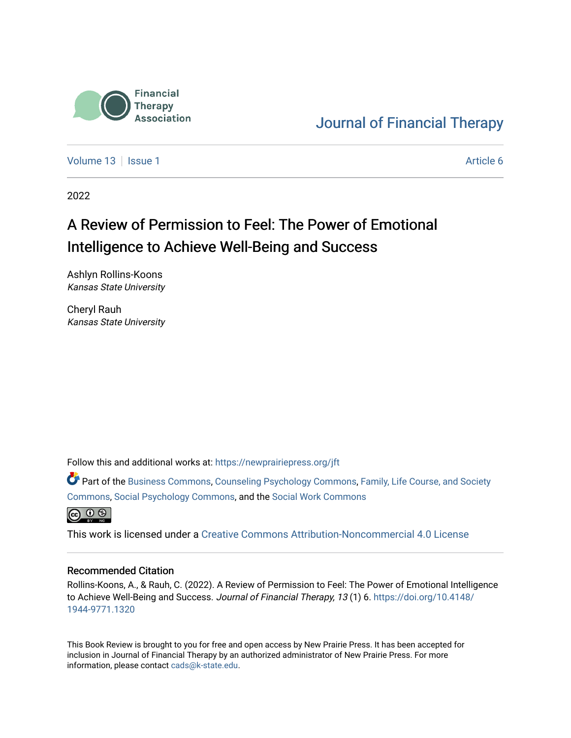

### [Journal of Financial Therapy](https://newprairiepress.org/jft)

[Volume 13](https://newprairiepress.org/jft/vol13) | [Issue 1](https://newprairiepress.org/jft/vol13/iss1) Article 6

2022

# A Review of Permission to Feel: The Power of Emotional Intelligence to Achieve Well-Being and Success

Ashlyn Rollins-Koons Kansas State University

Cheryl Rauh Kansas State University

Follow this and additional works at: [https://newprairiepress.org/jft](https://newprairiepress.org/jft?utm_source=newprairiepress.org%2Fjft%2Fvol13%2Fiss1%2F6&utm_medium=PDF&utm_campaign=PDFCoverPages)

Part of the [Business Commons](https://network.bepress.com/hgg/discipline/622?utm_source=newprairiepress.org%2Fjft%2Fvol13%2Fiss1%2F6&utm_medium=PDF&utm_campaign=PDFCoverPages), [Counseling Psychology Commons,](https://network.bepress.com/hgg/discipline/1044?utm_source=newprairiepress.org%2Fjft%2Fvol13%2Fiss1%2F6&utm_medium=PDF&utm_campaign=PDFCoverPages) [Family, Life Course, and Society](https://network.bepress.com/hgg/discipline/419?utm_source=newprairiepress.org%2Fjft%2Fvol13%2Fiss1%2F6&utm_medium=PDF&utm_campaign=PDFCoverPages)  [Commons](https://network.bepress.com/hgg/discipline/419?utm_source=newprairiepress.org%2Fjft%2Fvol13%2Fiss1%2F6&utm_medium=PDF&utm_campaign=PDFCoverPages), [Social Psychology Commons,](https://network.bepress.com/hgg/discipline/414?utm_source=newprairiepress.org%2Fjft%2Fvol13%2Fiss1%2F6&utm_medium=PDF&utm_campaign=PDFCoverPages) and the [Social Work Commons](https://network.bepress.com/hgg/discipline/713?utm_source=newprairiepress.org%2Fjft%2Fvol13%2Fiss1%2F6&utm_medium=PDF&utm_campaign=PDFCoverPages) 



This work is licensed under a [Creative Commons Attribution-Noncommercial 4.0 License](https://creativecommons.org/licenses/by-nc/4.0/)

#### Recommended Citation

Rollins-Koons, A., & Rauh, C. (2022). A Review of Permission to Feel: The Power of Emotional Intelligence to Achieve Well-Being and Success. Journal of Financial Therapy, 13 (1) 6. [https://doi.org/10.4148/](https://doi.org/10.4148/1944-9771.1320) [1944-9771.1320](https://doi.org/10.4148/1944-9771.1320) 

This Book Review is brought to you for free and open access by New Prairie Press. It has been accepted for inclusion in Journal of Financial Therapy by an authorized administrator of New Prairie Press. For more information, please contact [cads@k-state.edu](mailto:cads@k-state.edu).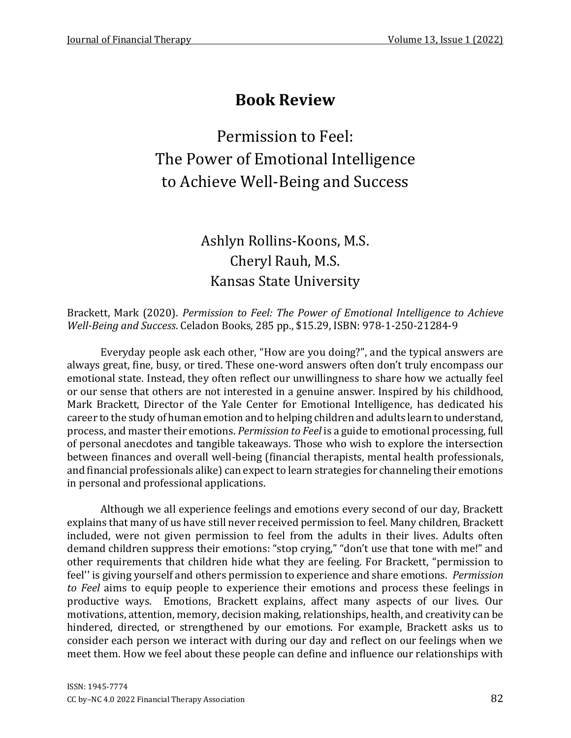# **Book Review**

Permission to Feel: The Power of Emotional Intelligence to Achieve Well-Being and Success

## Ashlyn Rollins-Koons, M.S. Cheryl Rauh, M.S. Kansas State University

Brackett, Mark (2020). *Permission to Feel: The Power of Emotional Intelligence to Achieve Well-Being and Success*. Celadon Books, 285 pp., \$15.29, ISBN: 978-1-250-21284-9

Everyday people ask each other, "How are you doing?", and the typical answers are always great, fine, busy, or tired. These one-word answers often don't truly encompass our emotional state. Instead, they often reflect our unwillingness to share how we actually feel or our sense that others are not interested in a genuine answer. Inspired by his childhood, Mark Brackett, Director of the Yale Center for Emotional Intelligence, has dedicated his career to the study of human emotion and to helping children and adults learn to understand, process, and master their emotions. *Permission to Feel* is a guide to emotional processing, full of personal anecdotes and tangible takeaways. Those who wish to explore the intersection between finances and overall well-being (financial therapists, mental health professionals, and financial professionals alike) can expect to learn strategies for channeling their emotions in personal and professional applications.

Although we all experience feelings and emotions every second of our day, Brackett explains that many of us have still never received permission to feel. Many children, Brackett included, were not given permission to feel from the adults in their lives. Adults often demand children suppress their emotions: "stop crying," "don't use that tone with me!" and other requirements that children hide what they are feeling. For Brackett, "permission to feel'' is giving yourself and others permission to experience and share emotions. *Permission to Feel* aims to equip people to experience their emotions and process these feelings in productive ways. Emotions, Brackett explains, affect many aspects of our lives. Our motivations, attention, memory, decision making, relationships, health, and creativity can be hindered, directed, or strengthened by our emotions. For example, Brackett asks us to consider each person we interact with during our day and reflect on our feelings when we meet them. How we feel about these people can define and influence our relationships with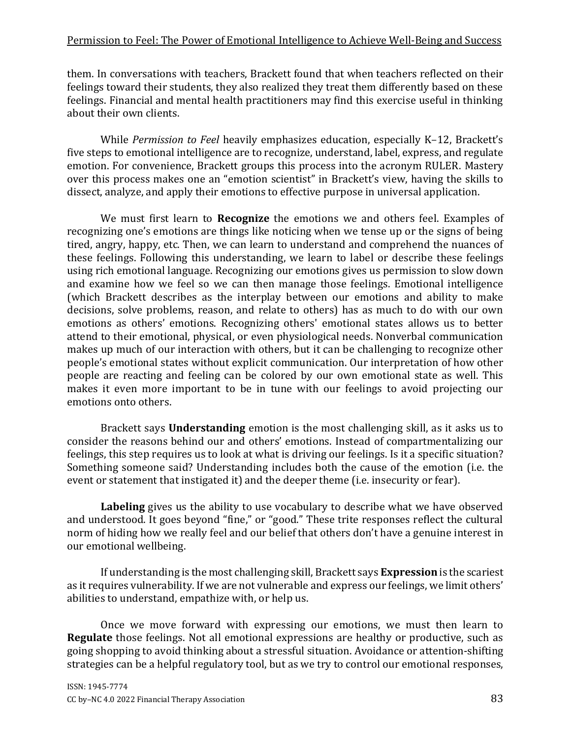### Permission to Feel: The Power of Emotional Intelligence to Achieve Well-Being and Success

them. In conversations with teachers, Brackett found that when teachers reflected on their feelings toward their students, they also realized they treat them differently based on these feelings. Financial and mental health practitioners may find this exercise useful in thinking about their own clients.

While *Permission to Feel* heavily emphasizes education, especially K–12, Brackett's five steps to emotional intelligence are to recognize, understand, label, express, and regulate emotion. For convenience, Brackett groups this process into the acronym RULER. Mastery over this process makes one an "emotion scientist" in Brackett's view, having the skills to dissect, analyze, and apply their emotions to effective purpose in universal application.

We must first learn to **Recognize** the emotions we and others feel. Examples of recognizing one's emotions are things like noticing when we tense up or the signs of being tired, angry, happy, etc. Then, we can learn to understand and comprehend the nuances of these feelings. Following this understanding, we learn to label or describe these feelings using rich emotional language. Recognizing our emotions gives us permission to slow down and examine how we feel so we can then manage those feelings. Emotional intelligence (which Brackett describes as the interplay between our emotions and ability to make decisions, solve problems, reason, and relate to others) has as much to do with our own emotions as others' emotions. Recognizing others' emotional states allows us to better attend to their emotional, physical, or even physiological needs. Nonverbal communication makes up much of our interaction with others, but it can be challenging to recognize other people's emotional states without explicit communication. Our interpretation of how other people are reacting and feeling can be colored by our own emotional state as well. This makes it even more important to be in tune with our feelings to avoid projecting our emotions onto others.

Brackett says **Understanding** emotion is the most challenging skill, as it asks us to consider the reasons behind our and others' emotions. Instead of compartmentalizing our feelings, this step requires us to look at what is driving our feelings. Is it a specific situation? Something someone said? Understanding includes both the cause of the emotion (i.e. the event or statement that instigated it) and the deeper theme (i.e. insecurity or fear).

**Labeling** gives us the ability to use vocabulary to describe what we have observed and understood. It goes beyond "fine," or "good." These trite responses reflect the cultural norm of hiding how we really feel and our belief that others don't have a genuine interest in our emotional wellbeing.

If understanding is the most challenging skill, Brackett says **Expression** is the scariest as it requires vulnerability. If we are not vulnerable and express our feelings, we limit others' abilities to understand, empathize with, or help us.

Once we move forward with expressing our emotions, we must then learn to **Regulate** those feelings. Not all emotional expressions are healthy or productive, such as going shopping to avoid thinking about a stressful situation. Avoidance or attention-shifting strategies can be a helpful regulatory tool, but as we try to control our emotional responses,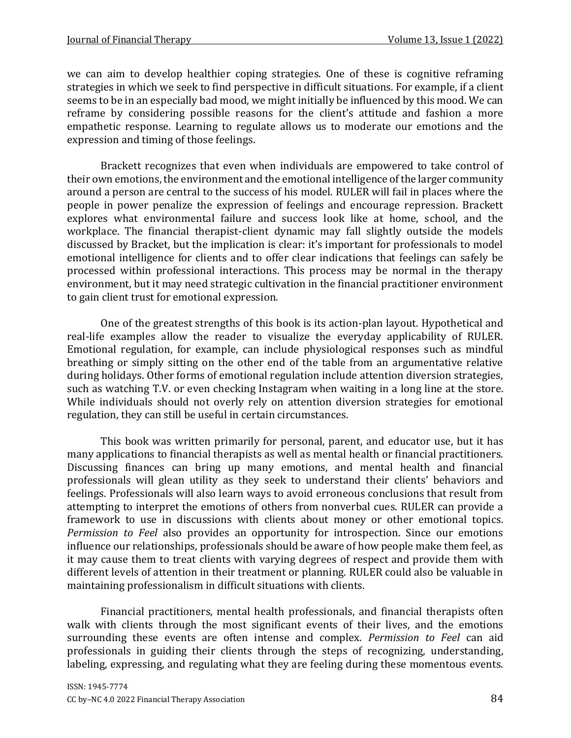we can aim to develop healthier coping strategies. One of these is cognitive reframing strategies in which we seek to find perspective in difficult situations. For example, if a client seems to be in an especially bad mood, we might initially be influenced by this mood. We can reframe by considering possible reasons for the client's attitude and fashion a more empathetic response. Learning to regulate allows us to moderate our emotions and the expression and timing of those feelings.

Brackett recognizes that even when individuals are empowered to take control of their own emotions, the environment and the emotional intelligence of the larger community around a person are central to the success of his model. RULER will fail in places where the people in power penalize the expression of feelings and encourage repression. Brackett explores what environmental failure and success look like at home, school, and the workplace. The financial therapist-client dynamic may fall slightly outside the models discussed by Bracket, but the implication is clear: it's important for professionals to model emotional intelligence for clients and to offer clear indications that feelings can safely be processed within professional interactions. This process may be normal in the therapy environment, but it may need strategic cultivation in the financial practitioner environment to gain client trust for emotional expression.

One of the greatest strengths of this book is its action-plan layout. Hypothetical and real-life examples allow the reader to visualize the everyday applicability of RULER. Emotional regulation, for example, can include physiological responses such as mindful breathing or simply sitting on the other end of the table from an argumentative relative during holidays. Other forms of emotional regulation include attention diversion strategies, such as watching T.V. or even checking Instagram when waiting in a long line at the store. While individuals should not overly rely on attention diversion strategies for emotional regulation, they can still be useful in certain circumstances.

This book was written primarily for personal, parent, and educator use, but it has many applications to financial therapists as well as mental health or financial practitioners. Discussing finances can bring up many emotions, and mental health and financial professionals will glean utility as they seek to understand their clients' behaviors and feelings. Professionals will also learn ways to avoid erroneous conclusions that result from attempting to interpret the emotions of others from nonverbal cues. RULER can provide a framework to use in discussions with clients about money or other emotional topics. *Permission to Feel* also provides an opportunity for introspection. Since our emotions influence our relationships, professionals should be aware of how people make them feel, as it may cause them to treat clients with varying degrees of respect and provide them with different levels of attention in their treatment or planning. RULER could also be valuable in maintaining professionalism in difficult situations with clients.

Financial practitioners, mental health professionals, and financial therapists often walk with clients through the most significant events of their lives, and the emotions surrounding these events are often intense and complex. *Permission to Feel* can aid professionals in guiding their clients through the steps of recognizing, understanding, labeling, expressing, and regulating what they are feeling during these momentous events.